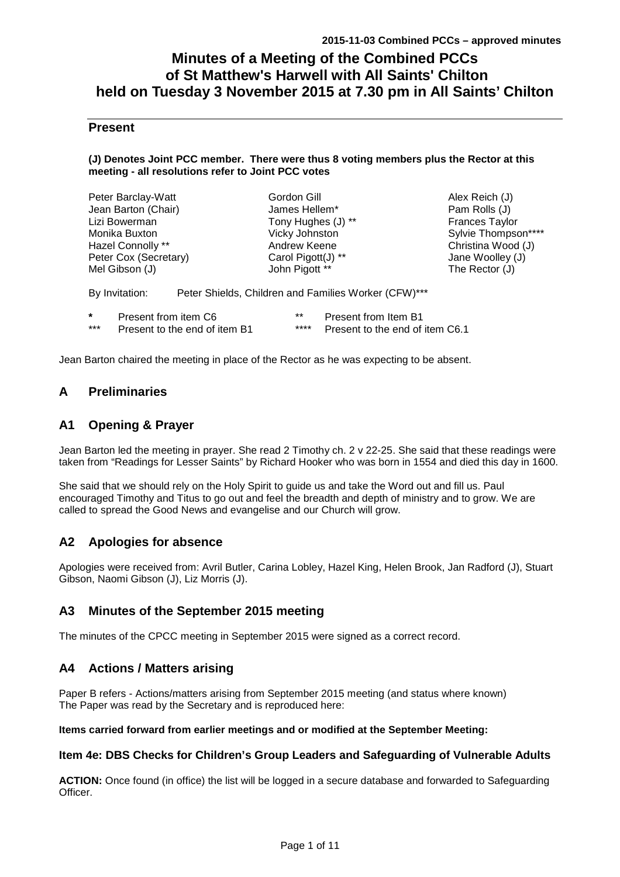# **Minutes of a Meeting of the Combined PCCs of St Matthew's Harwell with All Saints' Chilton held on Tuesday 3 November 2015 at 7.30 pm in All Saints' Chilton**

### **Present**

#### **(J) Denotes Joint PCC member. There were thus 8 voting members plus the Rector at this meeting - all resolutions refer to Joint PCC votes**

| Peter Barclay-Watt    |                      | Gordon Gill                                          | Alex Reich (J)      |
|-----------------------|----------------------|------------------------------------------------------|---------------------|
| Jean Barton (Chair)   |                      | James Hellem*                                        | Pam Rolls (J)       |
| Lizi Bowerman         |                      | Tony Hughes (J) **                                   | Frances Taylor      |
| Monika Buxton         |                      | Vicky Johnston                                       | Sylvie Thompson**** |
| Hazel Connolly **     |                      | Andrew Keene                                         | Christina Wood (J)  |
| Peter Cox (Secretary) |                      | Carol Pigott(J) **                                   | Jane Woolley (J)    |
| Mel Gibson (J)        |                      | John Pigott **                                       | The Rector $(J)$    |
| By Invitation:        |                      | Peter Shields, Children and Families Worker (CFW)*** |                     |
| $\star$               | Present from item C6 | $***$<br>Present from Item B1                        |                     |

Jean Barton chaired the meeting in place of the Rector as he was expecting to be absent.

\*\*\* Present to the end of item B1 \*\*\*\* Present to the end of item C6.1

## **A Preliminaries**

### **A1 Opening & Prayer**

Jean Barton led the meeting in prayer. She read 2 Timothy ch. 2 v 22-25. She said that these readings were taken from "Readings for Lesser Saints" by Richard Hooker who was born in 1554 and died this day in 1600.

She said that we should rely on the Holy Spirit to guide us and take the Word out and fill us. Paul encouraged Timothy and Titus to go out and feel the breadth and depth of ministry and to grow. We are called to spread the Good News and evangelise and our Church will grow.

## **A2 Apologies for absence**

Apologies were received from: Avril Butler, Carina Lobley, Hazel King, Helen Brook, Jan Radford (J), Stuart Gibson, Naomi Gibson (J), Liz Morris (J).

## **A3 Minutes of the September 2015 meeting**

The minutes of the CPCC meeting in September 2015 were signed as a correct record.

### **A4 Actions / Matters arising**

Paper B refers - Actions/matters arising from September 2015 meeting (and status where known) The Paper was read by the Secretary and is reproduced here:

#### **Items carried forward from earlier meetings and or modified at the September Meeting:**

#### **Item 4e: DBS Checks for Children's Group Leaders and Safeguarding of Vulnerable Adults**

**ACTION:** Once found (in office) the list will be logged in a secure database and forwarded to Safeguarding Officer.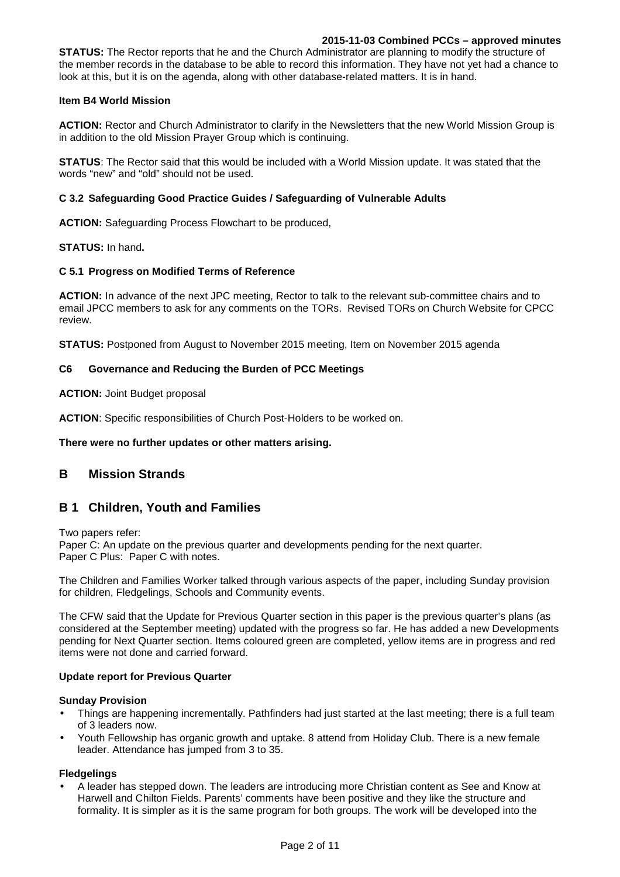#### **2015-11-03 Combined PCCs – approved minutes**

**STATUS:** The Rector reports that he and the Church Administrator are planning to modify the structure of the member records in the database to be able to record this information. They have not yet had a chance to look at this, but it is on the agenda, along with other database-related matters. It is in hand.

#### **Item B4 World Mission**

**ACTION:** Rector and Church Administrator to clarify in the Newsletters that the new World Mission Group is in addition to the old Mission Prayer Group which is continuing.

**STATUS**: The Rector said that this would be included with a World Mission update. It was stated that the words "new" and "old" should not be used.

#### **C 3.2 Safeguarding Good Practice Guides / Safeguarding of Vulnerable Adults**

**ACTION:** Safeguarding Process Flowchart to be produced,

**STATUS:** In hand**.** 

#### **C 5.1 Progress on Modified Terms of Reference**

**ACTION:** In advance of the next JPC meeting, Rector to talk to the relevant sub-committee chairs and to email JPCC members to ask for any comments on the TORs. Revised TORs on Church Website for CPCC review.

**STATUS:** Postponed from August to November 2015 meeting, Item on November 2015 agenda

#### **C6 Governance and Reducing the Burden of PCC Meetings**

#### **ACTION:** Joint Budget proposal

**ACTION**: Specific responsibilities of Church Post-Holders to be worked on.

#### **There were no further updates or other matters arising.**

### **B Mission Strands**

### **B 1 Children, Youth and Families**

Two papers refer:

Paper C: An update on the previous quarter and developments pending for the next quarter. Paper C Plus: Paper C with notes.

The Children and Families Worker talked through various aspects of the paper, including Sunday provision for children, Fledgelings, Schools and Community events.

The CFW said that the Update for Previous Quarter section in this paper is the previous quarter's plans (as considered at the September meeting) updated with the progress so far. He has added a new Developments pending for Next Quarter section. Items coloured green are completed, yellow items are in progress and red items were not done and carried forward.

#### **Update report for Previous Quarter**

#### **Sunday Provision**

- Things are happening incrementally. Pathfinders had just started at the last meeting; there is a full team of 3 leaders now.
- Youth Fellowship has organic growth and uptake. 8 attend from Holiday Club. There is a new female leader. Attendance has jumped from 3 to 35.

#### **Fledgelings**

• A leader has stepped down. The leaders are introducing more Christian content as See and Know at Harwell and Chilton Fields. Parents' comments have been positive and they like the structure and formality. It is simpler as it is the same program for both groups. The work will be developed into the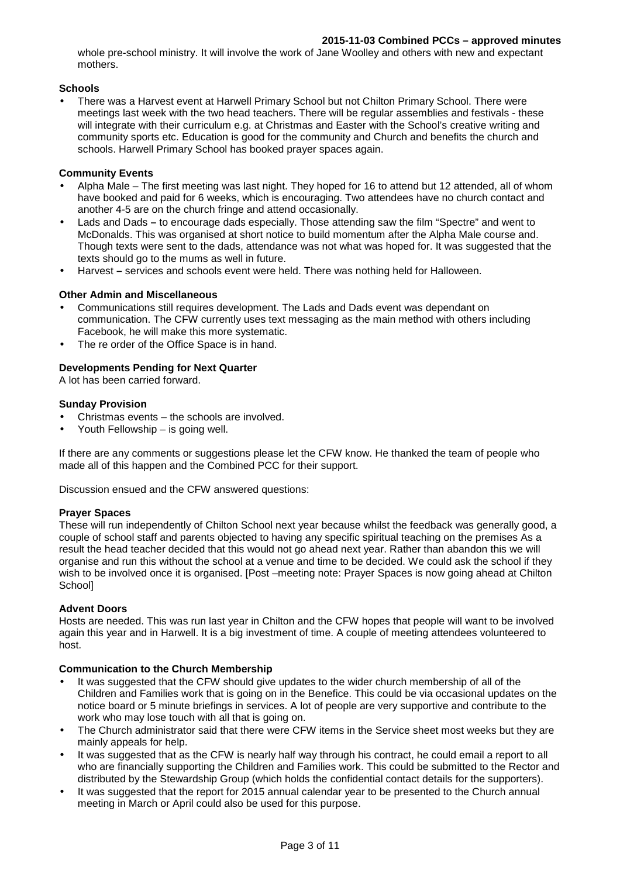whole pre-school ministry. It will involve the work of Jane Woolley and others with new and expectant mothers.

#### **Schools**

• There was a Harvest event at Harwell Primary School but not Chilton Primary School. There were meetings last week with the two head teachers. There will be regular assemblies and festivals - these will integrate with their curriculum e.g. at Christmas and Easter with the School's creative writing and community sports etc. Education is good for the community and Church and benefits the church and schools. Harwell Primary School has booked prayer spaces again.

#### **Community Events**

- Alpha Male The first meeting was last night. They hoped for 16 to attend but 12 attended, all of whom have booked and paid for 6 weeks, which is encouraging. Two attendees have no church contact and another 4-5 are on the church fringe and attend occasionally.
- Lads and Dadsto encourage dads especially. Those attending saw the film "Spectre" and went to McDonalds. This was organised at short notice to build momentum after the Alpha Male course and. Though texts were sent to the dads, attendance was not what was hoped for. It was suggested that the texts should go to the mums as well in future.
- Harvestservices and schools event were held. There was nothing held for Halloween.

#### **Other Admin and Miscellaneous**

- Communications still requires development. The Lads and Dads event was dependant on communication. The CFW currently uses text messaging as the main method with others including Facebook, he will make this more systematic.
- The re order of the Office Space is in hand.

#### **Developments Pending for Next Quarter**

A lot has been carried forward.

#### **Sunday Provision**

- Christmas events the schools are involved.
- Youth Fellowship is going well.

If there are any comments or suggestions please let the CFW know. He thanked the team of people who made all of this happen and the Combined PCC for their support.

Discussion ensued and the CFW answered questions:

#### **Prayer Spaces**

These will run independently of Chilton School next year because whilst the feedback was generally good, a couple of school staff and parents objected to having any specific spiritual teaching on the premises As a result the head teacher decided that this would not go ahead next year. Rather than abandon this we will organise and run this without the school at a venue and time to be decided. We could ask the school if they wish to be involved once it is organised. [Post –meeting note: Prayer Spaces is now going ahead at Chilton School]

#### **Advent Doors**

Hosts are needed. This was run last year in Chilton and the CFW hopes that people will want to be involved again this year and in Harwell. It is a big investment of time. A couple of meeting attendees volunteered to host.

#### **Communication to the Church Membership**

- It was suggested that the CFW should give updates to the wider church membership of all of the Children and Families work that is going on in the Benefice. This could be via occasional updates on the notice board or 5 minute briefings in services. A lot of people are very supportive and contribute to the work who may lose touch with all that is going on.
- The Church administrator said that there were CFW items in the Service sheet most weeks but they are mainly appeals for help.
- It was suggested that as the CFW is nearly half way through his contract, he could email a report to all who are financially supporting the Children and Families work. This could be submitted to the Rector and distributed by the Stewardship Group (which holds the confidential contact details for the supporters).
- It was suggested that the report for 2015 annual calendar year to be presented to the Church annual meeting in March or April could also be used for this purpose.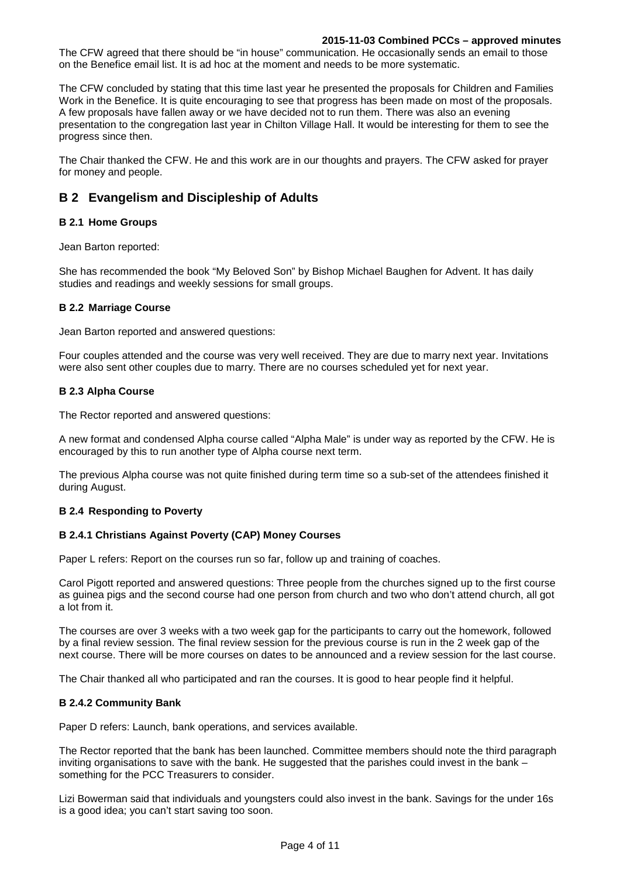#### **2015-11-03 Combined PCCs – approved minutes**

The CFW agreed that there should be "in house" communication. He occasionally sends an email to those on the Benefice email list. It is ad hoc at the moment and needs to be more systematic.

The CFW concluded by stating that this time last year he presented the proposals for Children and Families Work in the Benefice. It is quite encouraging to see that progress has been made on most of the proposals. A few proposals have fallen away or we have decided not to run them. There was also an evening presentation to the congregation last year in Chilton Village Hall. It would be interesting for them to see the progress since then.

The Chair thanked the CFW. He and this work are in our thoughts and prayers. The CFW asked for prayer for money and people.

## **B 2 Evangelism and Discipleship of Adults**

#### **B 2.1 Home Groups**

Jean Barton reported:

She has recommended the book "My Beloved Son" by Bishop Michael Baughen for Advent. It has daily studies and readings and weekly sessions for small groups.

#### **B 2.2 Marriage Course**

Jean Barton reported and answered questions:

Four couples attended and the course was very well received. They are due to marry next year. Invitations were also sent other couples due to marry. There are no courses scheduled yet for next year.

#### **B 2.3 Alpha Course**

The Rector reported and answered questions:

A new format and condensed Alpha course called "Alpha Male" is under way as reported by the CFW. He is encouraged by this to run another type of Alpha course next term.

The previous Alpha course was not quite finished during term time so a sub-set of the attendees finished it during August.

#### **B 2.4 Responding to Poverty**

#### **B 2.4.1 Christians Against Poverty (CAP) Money Courses**

Paper L refers: Report on the courses run so far, follow up and training of coaches.

Carol Pigott reported and answered questions: Three people from the churches signed up to the first course as guinea pigs and the second course had one person from church and two who don't attend church, all got a lot from it.

The courses are over 3 weeks with a two week gap for the participants to carry out the homework, followed by a final review session. The final review session for the previous course is run in the 2 week gap of the next course. There will be more courses on dates to be announced and a review session for the last course.

The Chair thanked all who participated and ran the courses. It is good to hear people find it helpful.

#### **B 2.4.2 Community Bank**

Paper D refers: Launch, bank operations, and services available.

The Rector reported that the bank has been launched. Committee members should note the third paragraph inviting organisations to save with the bank. He suggested that the parishes could invest in the bank – something for the PCC Treasurers to consider.

Lizi Bowerman said that individuals and youngsters could also invest in the bank. Savings for the under 16s is a good idea; you can't start saving too soon.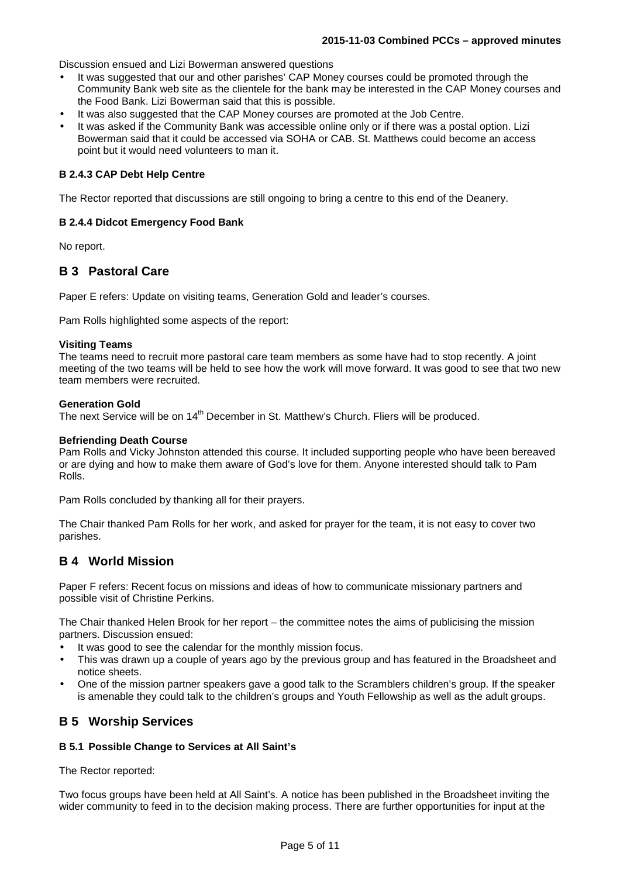Discussion ensued and Lizi Bowerman answered questions

- It was suggested that our and other parishes' CAP Money courses could be promoted through the Community Bank web site as the clientele for the bank may be interested in the CAP Money courses and the Food Bank. Lizi Bowerman said that this is possible.
- It was also suggested that the CAP Money courses are promoted at the Job Centre.
- It was asked if the Community Bank was accessible online only or if there was a postal option. Lizi Bowerman said that it could be accessed via SOHA or CAB. St. Matthews could become an access point but it would need volunteers to man it.

#### **B 2.4.3 CAP Debt Help Centre**

The Rector reported that discussions are still ongoing to bring a centre to this end of the Deanery.

#### **B 2.4.4 Didcot Emergency Food Bank**

No report.

### **B 3 Pastoral Care**

Paper E refers: Update on visiting teams, Generation Gold and leader's courses.

Pam Rolls highlighted some aspects of the report:

#### **Visiting Teams**

The teams need to recruit more pastoral care team members as some have had to stop recently. A joint meeting of the two teams will be held to see how the work will move forward. It was good to see that two new team members were recruited.

#### **Generation Gold**

The next Service will be on 14<sup>th</sup> December in St. Matthew's Church. Fliers will be produced.

#### **Befriending Death Course**

Pam Rolls and Vicky Johnston attended this course. It included supporting people who have been bereaved or are dying and how to make them aware of God's love for them. Anyone interested should talk to Pam Rolls.

Pam Rolls concluded by thanking all for their prayers.

The Chair thanked Pam Rolls for her work, and asked for prayer for the team, it is not easy to cover two parishes.

#### **B 4 World Mission**

Paper F refers: Recent focus on missions and ideas of how to communicate missionary partners and possible visit of Christine Perkins.

The Chair thanked Helen Brook for her report – the committee notes the aims of publicising the mission partners. Discussion ensued:

- It was good to see the calendar for the monthly mission focus.
- This was drawn up a couple of years ago by the previous group and has featured in the Broadsheet and notice sheets.
- One of the mission partner speakers gave a good talk to the Scramblers children's group. If the speaker is amenable they could talk to the children's groups and Youth Fellowship as well as the adult groups.

### **B 5 Worship Services**

#### **B 5.1 Possible Change to Services at All Saint's**

The Rector reported:

Two focus groups have been held at All Saint's. A notice has been published in the Broadsheet inviting the wider community to feed in to the decision making process. There are further opportunities for input at the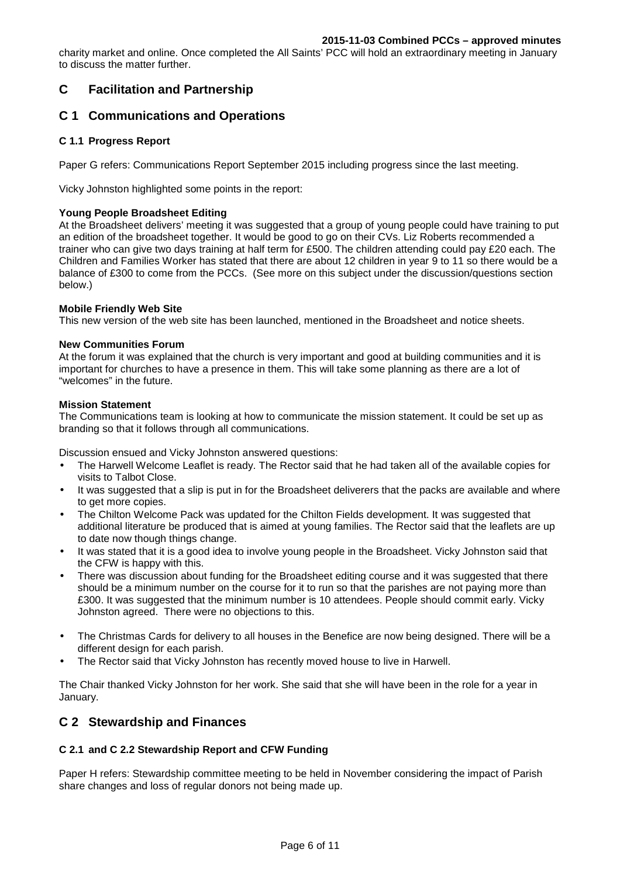charity market and online. Once completed the All Saints' PCC will hold an extraordinary meeting in January to discuss the matter further.

## **C Facilitation and Partnership**

### **C 1 Communications and Operations**

#### **C 1.1 Progress Report**

Paper G refers: Communications Report September 2015 including progress since the last meeting.

Vicky Johnston highlighted some points in the report:

#### **Young People Broadsheet Editing**

At the Broadsheet delivers' meeting it was suggested that a group of young people could have training to put an edition of the broadsheet together. It would be good to go on their CVs. Liz Roberts recommended a trainer who can give two days training at half term for £500. The children attending could pay £20 each. The Children and Families Worker has stated that there are about 12 children in year 9 to 11 so there would be a balance of £300 to come from the PCCs. (See more on this subject under the discussion/questions section below.)

#### **Mobile Friendly Web Site**

This new version of the web site has been launched, mentioned in the Broadsheet and notice sheets.

#### **New Communities Forum**

At the forum it was explained that the church is very important and good at building communities and it is important for churches to have a presence in them. This will take some planning as there are a lot of "welcomes" in the future.

#### **Mission Statement**

The Communications team is looking at how to communicate the mission statement. It could be set up as branding so that it follows through all communications.

Discussion ensued and Vicky Johnston answered questions:

- The Harwell Welcome Leaflet is ready. The Rector said that he had taken all of the available copies for visits to Talbot Close.
- It was suggested that a slip is put in for the Broadsheet deliverers that the packs are available and where to get more copies.
- The Chilton Welcome Pack was updated for the Chilton Fields development. It was suggested that additional literature be produced that is aimed at young families. The Rector said that the leaflets are up to date now though things change.
- It was stated that it is a good idea to involve young people in the Broadsheet. Vicky Johnston said that the CFW is happy with this.
- There was discussion about funding for the Broadsheet editing course and it was suggested that there should be a minimum number on the course for it to run so that the parishes are not paying more than £300. It was suggested that the minimum number is 10 attendees. People should commit early. Vicky Johnston agreed. There were no objections to this.
- The Christmas Cards for delivery to all houses in the Benefice are now being designed. There will be a different design for each parish.
- The Rector said that Vicky Johnston has recently moved house to live in Harwell.

The Chair thanked Vicky Johnston for her work. She said that she will have been in the role for a year in January.

### **C 2 Stewardship and Finances**

#### **C 2.1 and C 2.2 Stewardship Report and CFW Funding**

Paper H refers: Stewardship committee meeting to be held in November considering the impact of Parish share changes and loss of regular donors not being made up.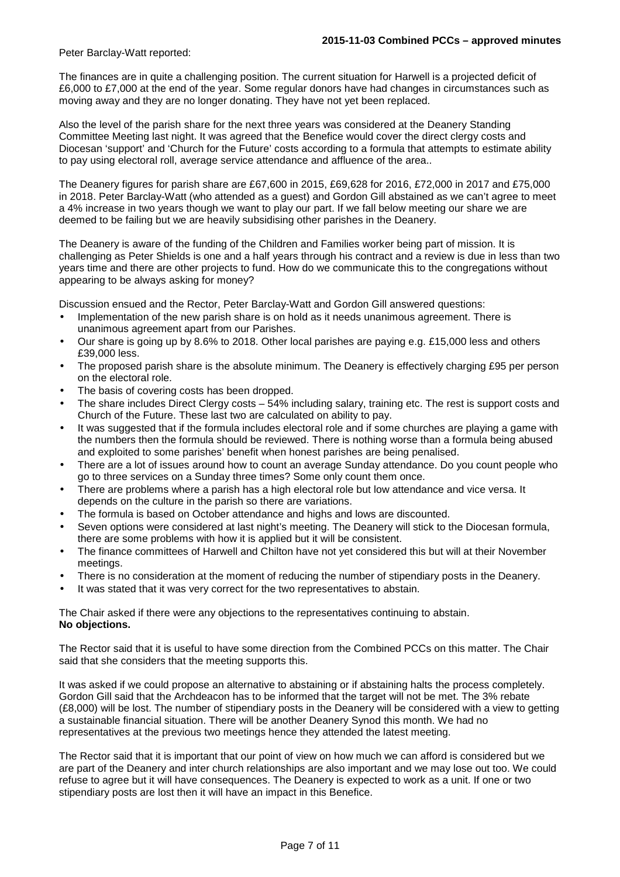#### Peter Barclay-Watt reported:

The finances are in quite a challenging position. The current situation for Harwell is a projected deficit of £6,000 to £7,000 at the end of the year. Some regular donors have had changes in circumstances such as moving away and they are no longer donating. They have not yet been replaced.

Also the level of the parish share for the next three years was considered at the Deanery Standing Committee Meeting last night. It was agreed that the Benefice would cover the direct clergy costs and Diocesan 'support' and 'Church for the Future' costs according to a formula that attempts to estimate ability to pay using electoral roll, average service attendance and affluence of the area..

The Deanery figures for parish share are £67,600 in 2015, £69,628 for 2016, £72,000 in 2017 and £75,000 in 2018. Peter Barclay-Watt (who attended as a guest) and Gordon Gill abstained as we can't agree to meet a 4% increase in two years though we want to play our part. If we fall below meeting our share we are deemed to be failing but we are heavily subsidising other parishes in the Deanery.

The Deanery is aware of the funding of the Children and Families worker being part of mission. It is challenging as Peter Shields is one and a half years through his contract and a review is due in less than two years time and there are other projects to fund. How do we communicate this to the congregations without appearing to be always asking for money?

Discussion ensued and the Rector, Peter Barclay-Watt and Gordon Gill answered questions:

- Implementation of the new parish share is on hold as it needs unanimous agreement. There is unanimous agreement apart from our Parishes.
- Our share is going up by 8.6% to 2018. Other local parishes are paying e.g. £15,000 less and others £39,000 less.
- The proposed parish share is the absolute minimum. The Deanery is effectively charging £95 per person on the electoral role.
- The basis of covering costs has been dropped.
- The share includes Direct Clergy costs 54% including salary, training etc. The rest is support costs and Church of the Future. These last two are calculated on ability to pay.
- It was suggested that if the formula includes electoral role and if some churches are playing a game with the numbers then the formula should be reviewed. There is nothing worse than a formula being abused and exploited to some parishes' benefit when honest parishes are being penalised.
- There are a lot of issues around how to count an average Sunday attendance. Do you count people who go to three services on a Sunday three times? Some only count them once.
- There are problems where a parish has a high electoral role but low attendance and vice versa. It depends on the culture in the parish so there are variations.
- The formula is based on October attendance and highs and lows are discounted.
- Seven options were considered at last night's meeting. The Deanery will stick to the Diocesan formula, there are some problems with how it is applied but it will be consistent.
- The finance committees of Harwell and Chilton have not yet considered this but will at their November meetings.
- There is no consideration at the moment of reducing the number of stipendiary posts in the Deanery.
- It was stated that it was very correct for the two representatives to abstain.

The Chair asked if there were any objections to the representatives continuing to abstain. **No objections.** 

The Rector said that it is useful to have some direction from the Combined PCCs on this matter. The Chair said that she considers that the meeting supports this.

It was asked if we could propose an alternative to abstaining or if abstaining halts the process completely. Gordon Gill said that the Archdeacon has to be informed that the target will not be met. The 3% rebate (£8,000) will be lost. The number of stipendiary posts in the Deanery will be considered with a view to getting a sustainable financial situation. There will be another Deanery Synod this month. We had no representatives at the previous two meetings hence they attended the latest meeting.

The Rector said that it is important that our point of view on how much we can afford is considered but we are part of the Deanery and inter church relationships are also important and we may lose out too. We could refuse to agree but it will have consequences. The Deanery is expected to work as a unit. If one or two stipendiary posts are lost then it will have an impact in this Benefice.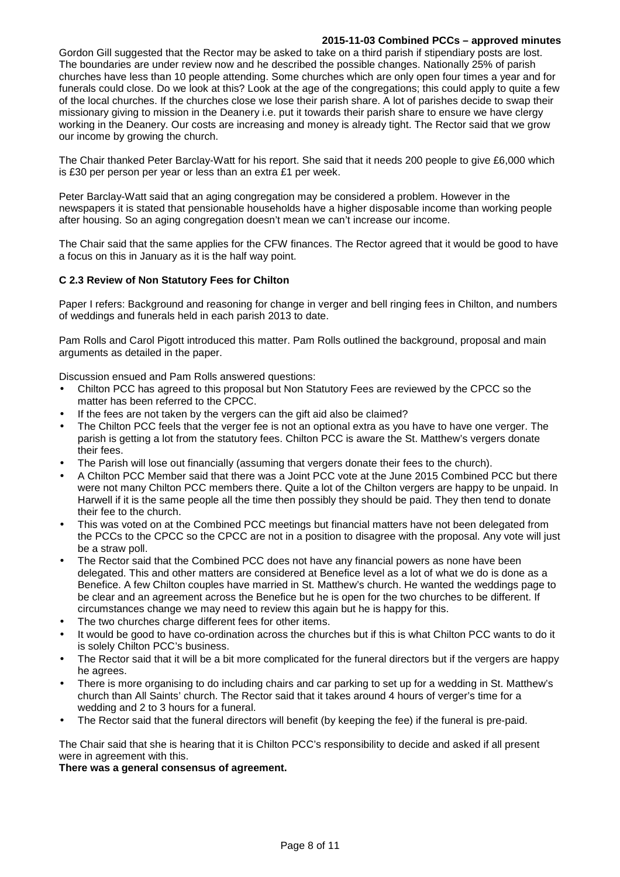#### **2015-11-03 Combined PCCs – approved minutes**

Gordon Gill suggested that the Rector may be asked to take on a third parish if stipendiary posts are lost. The boundaries are under review now and he described the possible changes. Nationally 25% of parish churches have less than 10 people attending. Some churches which are only open four times a year and for funerals could close. Do we look at this? Look at the age of the congregations; this could apply to quite a few of the local churches. If the churches close we lose their parish share. A lot of parishes decide to swap their missionary giving to mission in the Deanery i.e. put it towards their parish share to ensure we have clergy working in the Deanery. Our costs are increasing and money is already tight. The Rector said that we grow our income by growing the church.

The Chair thanked Peter Barclay-Watt for his report. She said that it needs 200 people to give £6,000 which is £30 per person per year or less than an extra £1 per week.

Peter Barclay-Watt said that an aging congregation may be considered a problem. However in the newspapers it is stated that pensionable households have a higher disposable income than working people after housing. So an aging congregation doesn't mean we can't increase our income.

The Chair said that the same applies for the CFW finances. The Rector agreed that it would be good to have a focus on this in January as it is the half way point.

#### **C 2.3 Review of Non Statutory Fees for Chilton**

Paper I refers: Background and reasoning for change in verger and bell ringing fees in Chilton, and numbers of weddings and funerals held in each parish 2013 to date.

Pam Rolls and Carol Pigott introduced this matter. Pam Rolls outlined the background, proposal and main arguments as detailed in the paper.

Discussion ensued and Pam Rolls answered questions:

- Chilton PCC has agreed to this proposal but Non Statutory Fees are reviewed by the CPCC so the matter has been referred to the CPCC.
- If the fees are not taken by the vergers can the gift aid also be claimed?
- The Chilton PCC feels that the verger fee is not an optional extra as you have to have one verger. The parish is getting a lot from the statutory fees. Chilton PCC is aware the St. Matthew's vergers donate their fees.
- The Parish will lose out financially (assuming that vergers donate their fees to the church).
- A Chilton PCC Member said that there was a Joint PCC vote at the June 2015 Combined PCC but there were not many Chilton PCC members there. Quite a lot of the Chilton vergers are happy to be unpaid. In Harwell if it is the same people all the time then possibly they should be paid. They then tend to donate their fee to the church.
- This was voted on at the Combined PCC meetings but financial matters have not been delegated from the PCCs to the CPCC so the CPCC are not in a position to disagree with the proposal. Any vote will just be a straw poll.
- The Rector said that the Combined PCC does not have any financial powers as none have been delegated. This and other matters are considered at Benefice level as a lot of what we do is done as a Benefice. A few Chilton couples have married in St. Matthew's church. He wanted the weddings page to be clear and an agreement across the Benefice but he is open for the two churches to be different. If circumstances change we may need to review this again but he is happy for this.
- The two churches charge different fees for other items.
- It would be good to have co-ordination across the churches but if this is what Chilton PCC wants to do it is solely Chilton PCC's business.
- The Rector said that it will be a bit more complicated for the funeral directors but if the vergers are happy he agrees.
- There is more organising to do including chairs and car parking to set up for a wedding in St. Matthew's church than All Saints' church. The Rector said that it takes around 4 hours of verger's time for a wedding and 2 to 3 hours for a funeral.
- The Rector said that the funeral directors will benefit (by keeping the fee) if the funeral is pre-paid.

The Chair said that she is hearing that it is Chilton PCC's responsibility to decide and asked if all present were in agreement with this.

**There was a general consensus of agreement.**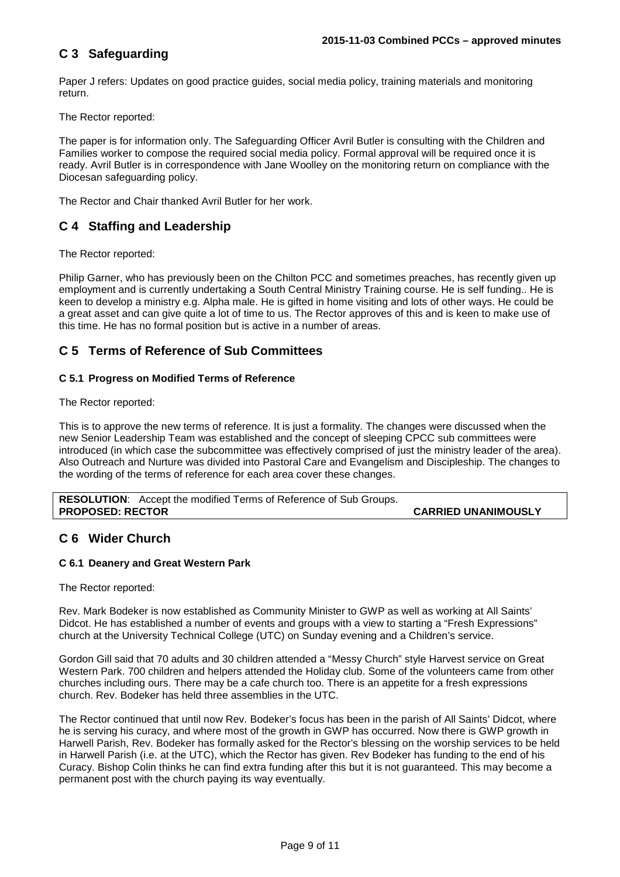## **C 3 Safeguarding**

Paper J refers: Updates on good practice guides, social media policy, training materials and monitoring return.

The Rector reported:

The paper is for information only. The Safeguarding Officer Avril Butler is consulting with the Children and Families worker to compose the required social media policy. Formal approval will be required once it is ready. Avril Butler is in correspondence with Jane Woolley on the monitoring return on compliance with the Diocesan safeguarding policy.

The Rector and Chair thanked Avril Butler for her work.

## **C 4 Staffing and Leadership**

The Rector reported:

Philip Garner, who has previously been on the Chilton PCC and sometimes preaches, has recently given up employment and is currently undertaking a South Central Ministry Training course. He is self funding.. He is keen to develop a ministry e.g. Alpha male. He is gifted in home visiting and lots of other ways. He could be a great asset and can give quite a lot of time to us. The Rector approves of this and is keen to make use of this time. He has no formal position but is active in a number of areas.

### **C 5 Terms of Reference of Sub Committees**

#### **C 5.1 Progress on Modified Terms of Reference**

The Rector reported:

This is to approve the new terms of reference. It is just a formality. The changes were discussed when the new Senior Leadership Team was established and the concept of sleeping CPCC sub committees were introduced (in which case the subcommittee was effectively comprised of just the ministry leader of the area). Also Outreach and Nurture was divided into Pastoral Care and Evangelism and Discipleship. The changes to the wording of the terms of reference for each area cover these changes.

**RESOLUTION**: Accept the modified Terms of Reference of Sub Groups. **PROPOSED: RECTOR CARRIED UNANIMOUSLY** 

### **C 6 Wider Church**

#### **C 6.1 Deanery and Great Western Park**

The Rector reported:

Rev. Mark Bodeker is now established as Community Minister to GWP as well as working at All Saints' Didcot. He has established a number of events and groups with a view to starting a "Fresh Expressions" church at the University Technical College (UTC) on Sunday evening and a Children's service.

Gordon Gill said that 70 adults and 30 children attended a "Messy Church" style Harvest service on Great Western Park. 700 children and helpers attended the Holiday club. Some of the volunteers came from other churches including ours. There may be a cafe church too. There is an appetite for a fresh expressions church. Rev. Bodeker has held three assemblies in the UTC.

The Rector continued that until now Rev. Bodeker's focus has been in the parish of All Saints' Didcot, where he is serving his curacy, and where most of the growth in GWP has occurred. Now there is GWP growth in Harwell Parish, Rev. Bodeker has formally asked for the Rector's blessing on the worship services to be held in Harwell Parish (i.e. at the UTC), which the Rector has given. Rev Bodeker has funding to the end of his Curacy. Bishop Colin thinks he can find extra funding after this but it is not guaranteed. This may become a permanent post with the church paying its way eventually.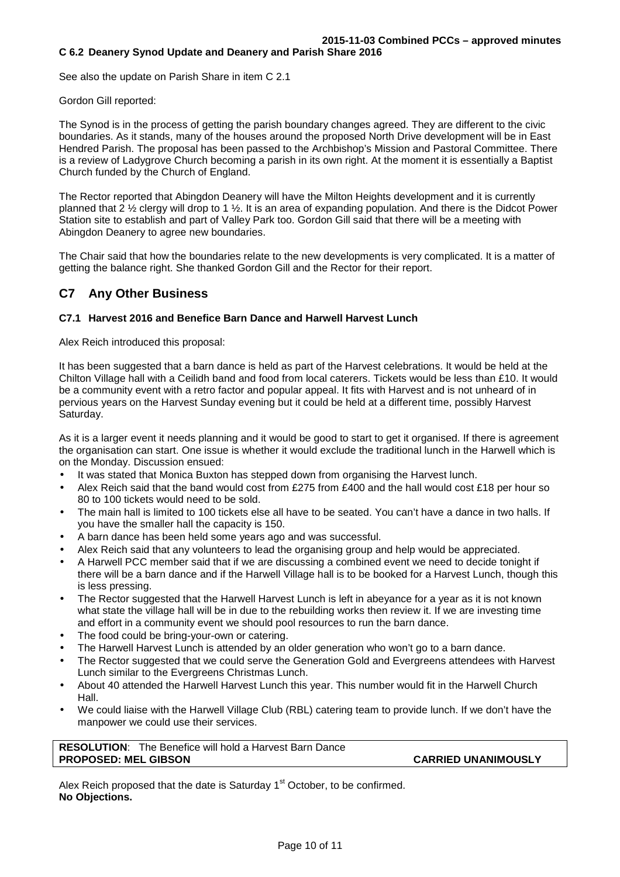See also the update on Parish Share in item C 2.1

#### Gordon Gill reported:

The Synod is in the process of getting the parish boundary changes agreed. They are different to the civic boundaries. As it stands, many of the houses around the proposed North Drive development will be in East Hendred Parish. The proposal has been passed to the Archbishop's Mission and Pastoral Committee. There is a review of Ladygrove Church becoming a parish in its own right. At the moment it is essentially a Baptist Church funded by the Church of England.

The Rector reported that Abingdon Deanery will have the Milton Heights development and it is currently planned that 2 ½ clergy will drop to 1 ½. It is an area of expanding population. And there is the Didcot Power Station site to establish and part of Valley Park too. Gordon Gill said that there will be a meeting with Abingdon Deanery to agree new boundaries.

The Chair said that how the boundaries relate to the new developments is very complicated. It is a matter of getting the balance right. She thanked Gordon Gill and the Rector for their report.

### **C7 Any Other Business**

#### **C7.1 Harvest 2016 and Benefice Barn Dance and Harwell Harvest Lunch**

Alex Reich introduced this proposal:

It has been suggested that a barn dance is held as part of the Harvest celebrations. It would be held at the Chilton Village hall with a Ceilidh band and food from local caterers. Tickets would be less than £10. It would be a community event with a retro factor and popular appeal. It fits with Harvest and is not unheard of in pervious years on the Harvest Sunday evening but it could be held at a different time, possibly Harvest Saturday.

As it is a larger event it needs planning and it would be good to start to get it organised. If there is agreement the organisation can start. One issue is whether it would exclude the traditional lunch in the Harwell which is on the Monday. Discussion ensued:

- It was stated that Monica Buxton has stepped down from organising the Harvest lunch.
- Alex Reich said that the band would cost from £275 from £400 and the hall would cost £18 per hour so 80 to 100 tickets would need to be sold.
- The main hall is limited to 100 tickets else all have to be seated. You can't have a dance in two halls. If you have the smaller hall the capacity is 150.
- A barn dance has been held some years ago and was successful.
- Alex Reich said that any volunteers to lead the organising group and help would be appreciated.
- A Harwell PCC member said that if we are discussing a combined event we need to decide tonight if there will be a barn dance and if the Harwell Village hall is to be booked for a Harvest Lunch, though this is less pressing.
- The Rector suggested that the Harwell Harvest Lunch is left in abeyance for a year as it is not known what state the village hall will be in due to the rebuilding works then review it. If we are investing time and effort in a community event we should pool resources to run the barn dance.
- The food could be bring-your-own or catering.
- The Harwell Harvest Lunch is attended by an older generation who won't go to a barn dance.
- The Rector suggested that we could serve the Generation Gold and Evergreens attendees with Harvest Lunch similar to the Evergreens Christmas Lunch.
- About 40 attended the Harwell Harvest Lunch this year. This number would fit in the Harwell Church Hall.
- We could liaise with the Harwell Village Club (RBL) catering team to provide lunch. If we don't have the manpower we could use their services.

**RESOLUTION**: The Benefice will hold a Harvest Barn Dance **PROPOSED: MEL GIBSON CARRIED UNANIMOUSLY** 

Alex Reich proposed that the date is Saturday  $1<sup>st</sup>$  October, to be confirmed. **No Objections.**